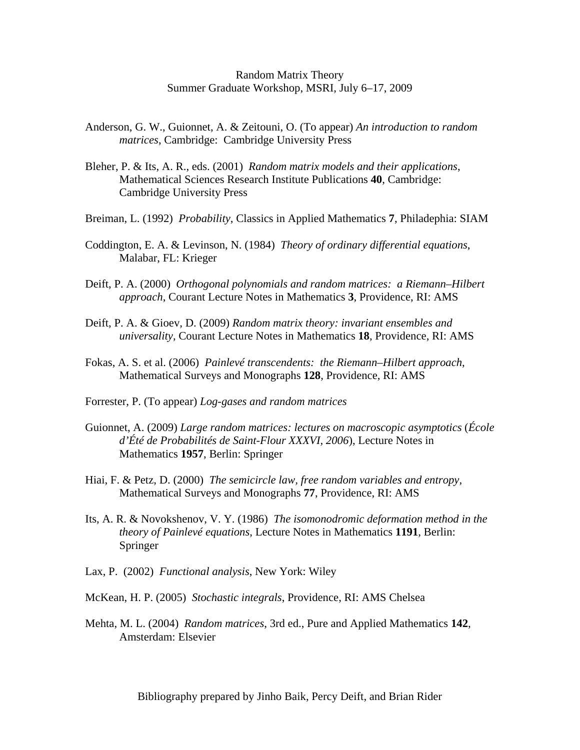## Random Matrix Theory Summer Graduate Workshop, MSRI, July 6–17, 2009

- Anderson, G. W., Guionnet, A. & Zeitouni, O. (To appear) *An introduction to random matrices*, Cambridge: Cambridge University Press
- Bleher, P. & Its, A. R., eds. (2001) *Random matrix models and their applications*, Mathematical Sciences Research Institute Publications **40**, Cambridge: Cambridge University Press
- Breiman, L. (1992) *Probability*, Classics in Applied Mathematics **7**, Philadephia: SIAM
- Coddington, E. A. & Levinson, N. (1984) *Theory of ordinary differential equations*, Malabar, FL: Krieger
- Deift, P. A. (2000) *Orthogonal polynomials and random matrices: a Riemann–Hilbert approach*, Courant Lecture Notes in Mathematics **3**, Providence, RI: AMS
- Deift, P. A. & Gioev, D. (2009) *Random matrix theory: invariant ensembles and universality*, Courant Lecture Notes in Mathematics **18**, Providence, RI: AMS
- Fokas, A. S. et al. (2006) *Painlevé transcendents: the Riemann–Hilbert approach*, Mathematical Surveys and Monographs **128**, Providence, RI: AMS
- Forrester, P. (To appear) *Log-gases and random matrices*
- Guionnet, A. (2009) *Large random matrices: lectures on macroscopic asymptotics* (*École d'Été de Probabilités de Saint-Flour XXXVI, 2006*), Lecture Notes in Mathematics **1957**, Berlin: Springer
- Hiai, F. & Petz, D. (2000) *The semicircle law, free random variables and entropy*, Mathematical Surveys and Monographs **77**, Providence, RI: AMS
- Its, A. R. & Novokshenov, V. Y. (1986) *The isomonodromic deformation method in the theory of Painlevé equations*, Lecture Notes in Mathematics **1191**, Berlin: Springer
- Lax, P. (2002) *Functional analysis*, New York: Wiley
- McKean, H. P. (2005) *Stochastic integrals*, Providence, RI: AMS Chelsea
- Mehta, M. L. (2004) *Random matrices*, 3rd ed., Pure and Applied Mathematics **142**, Amsterdam: Elsevier